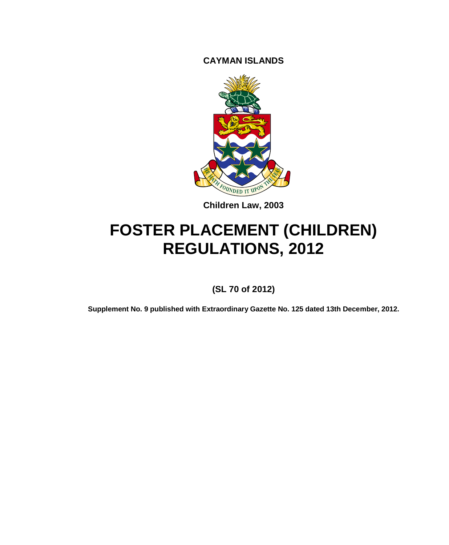**CAYMAN ISLANDS**



**Children Law, 2003**

# **FOSTER PLACEMENT (CHILDREN) REGULATIONS, 2012**

**(SL 70 of 2012)**

**Supplement No. 9 published with Extraordinary Gazette No. 125 dated 13th December, 2012.**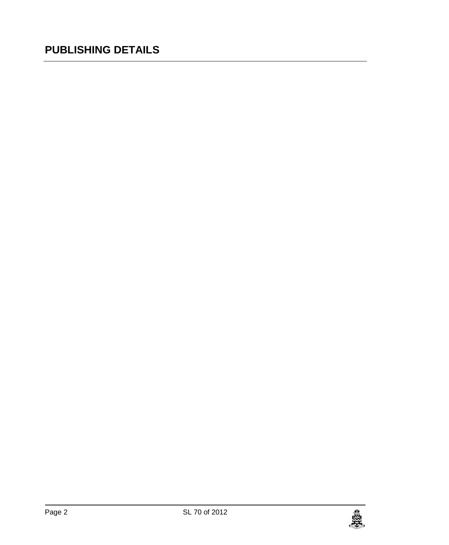# **PUBLISHING DETAILS**

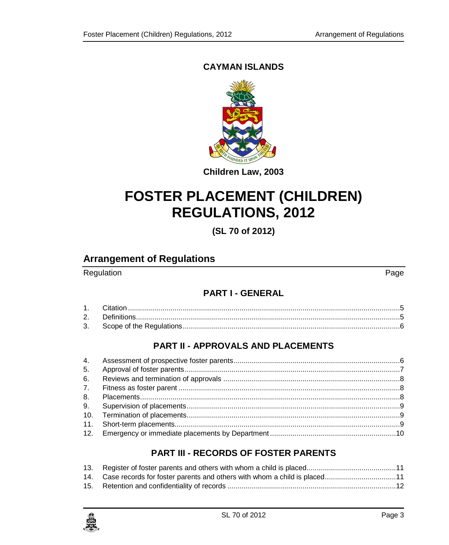## **CAYMAN ISLANDS**



**Children Law, 2003**

# **FOSTER PLACEMENT (CHILDREN) REGULATIONS, 2012**

**(SL 70 of 2012)**

## **Arrangement of Regulations**

## Regulation Page

#### **PART I - [GENERAL](#page-4-0)**

## **PART II - [APPROVALS AND PLACEMENTS](#page-5-1)**

## **PART III - [RECORDS OF FOSTER PARENTS](#page-10-0)**

| 14. Case records for foster parents and others with whom a child is placed11 |
|------------------------------------------------------------------------------|
|                                                                              |

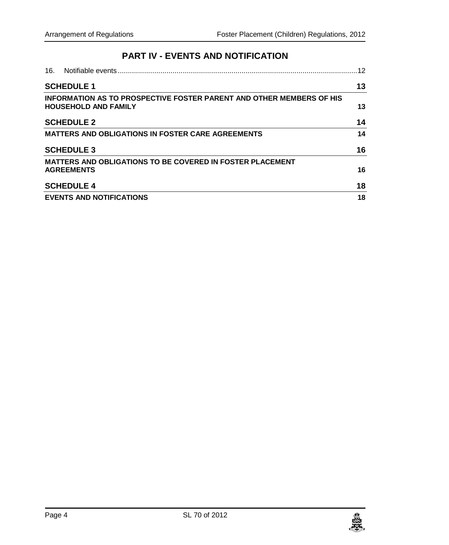## **PART IV - [EVENTS AND NOTIFICATION](#page-11-1)**

| 16. | Notifiable events                                                                                   | 12 |
|-----|-----------------------------------------------------------------------------------------------------|----|
|     | <b>SCHEDULE 1</b>                                                                                   | 13 |
|     | INFORMATION AS TO PROSPECTIVE FOSTER PARENT AND OTHER MEMBERS OF HIS<br><b>HOUSEHOLD AND FAMILY</b> | 13 |
|     | <b>SCHEDULE 2</b>                                                                                   | 14 |
|     | <b>MATTERS AND OBLIGATIONS IN FOSTER CARE AGREEMENTS</b>                                            | 14 |
|     | <b>SCHEDULE 3</b>                                                                                   | 16 |
|     | <b>MATTERS AND OBLIGATIONS TO BE COVERED IN FOSTER PLACEMENT</b>                                    |    |
|     | <b>AGREEMENTS</b>                                                                                   | 16 |
|     | <b>SCHEDULE 4</b>                                                                                   | 18 |
|     | <b>EVENTS AND NOTIFICATIONS</b>                                                                     | 18 |

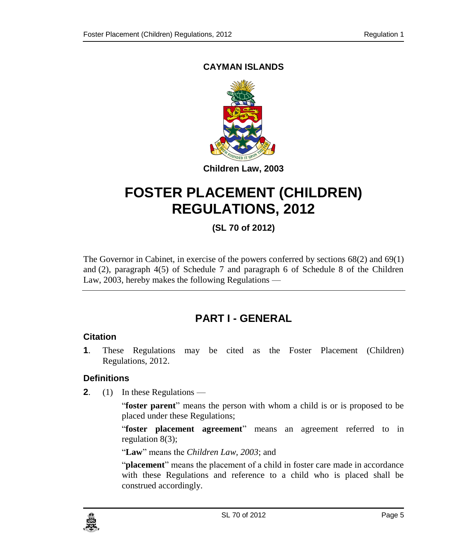## **CAYMAN ISLANDS**



# **FOSTER PLACEMENT (CHILDREN) REGULATIONS, 2012**

## **(SL 70 of 2012)**

The Governor in Cabinet, in exercise of the powers conferred by sections  $68(2)$  and  $69(1)$ and (2), paragraph 4(5) of Schedule 7 and paragraph 6 of Schedule 8 of the Children Law, 2003, hereby makes the following Regulations —

# **PART I - GENERAL**

#### <span id="page-4-1"></span><span id="page-4-0"></span>**1. Citation**

**1**. These Regulations may be cited as the Foster Placement (Children) Regulations, 2012.

#### <span id="page-4-2"></span>**2. Definitions**

**2**. (1) In these Regulations —

"**foster parent**" means the person with whom a child is or is proposed to be placed under these Regulations;

"**foster placement agreement**" means an agreement referred to in regulation 8(3);

"**Law**" means the *Children Law, 2003*; and

"**placement**" means the placement of a child in foster care made in accordance with these Regulations and reference to a child who is placed shall be construed accordingly.

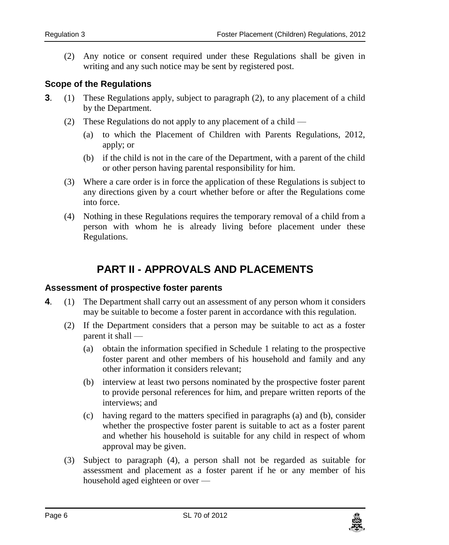<span id="page-5-0"></span>(2) Any notice or consent required under these Regulations shall be given in writing and any such notice may be sent by registered post.

#### **3. Scope of the Regulations**

- **3**. (1) These Regulations apply, subject to paragraph (2), to any placement of a child by the Department.
	- (2) These Regulations do not apply to any placement of a child
		- (a) to which the Placement of Children with Parents Regulations, 2012, apply; or
		- (b) if the child is not in the care of the Department, with a parent of the child or other person having parental responsibility for him.
	- (3) Where a care order is in force the application of these Regulations is subject to any directions given by a court whether before or after the Regulations come into force.
	- (4) Nothing in these Regulations requires the temporary removal of a child from a person with whom he is already living before placement under these Regulations.

# **PART II - APPROVALS AND PLACEMENTS**

#### <span id="page-5-2"></span><span id="page-5-1"></span>**4. Assessment of prospective foster parents**

- **4**. (1) The Department shall carry out an assessment of any person whom it considers may be suitable to become a foster parent in accordance with this regulation.
	- (2) If the Department considers that a person may be suitable to act as a foster parent it shall —
		- (a) obtain the information specified in Schedule 1 relating to the prospective foster parent and other members of his household and family and any other information it considers relevant;
		- (b) interview at least two persons nominated by the prospective foster parent to provide personal references for him, and prepare written reports of the interviews; and
		- (c) having regard to the matters specified in paragraphs (a) and (b), consider whether the prospective foster parent is suitable to act as a foster parent and whether his household is suitable for any child in respect of whom approval may be given.
	- (3) Subject to paragraph (4), a person shall not be regarded as suitable for assessment and placement as a foster parent if he or any member of his household aged eighteen or over —

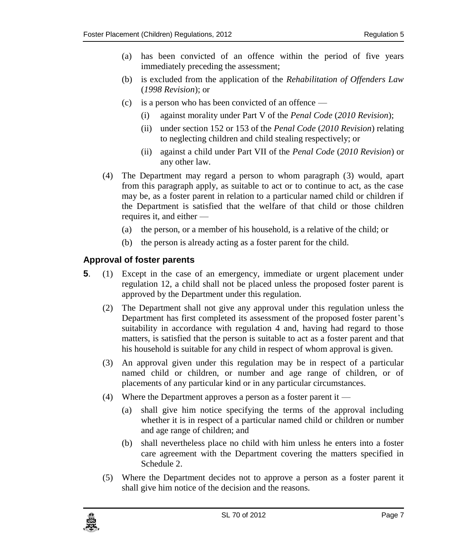- (a) has been convicted of an offence within the period of five years immediately preceding the assessment;
- (b) is excluded from the application of the *Rehabilitation of Offenders Law* (*1998 Revision*); or
- (c) is a person who has been convicted of an offence
	- (i) against morality under Part V of the *Penal Code* (*2010 Revision*);
	- (ii) under section 152 or 153 of the *Penal Code* (*2010 Revision*) relating to neglecting children and child stealing respectively; or
	- (ii) against a child under Part VII of the *Penal Code* (*2010 Revision*) or any other law.
- (4) The Department may regard a person to whom paragraph (3) would, apart from this paragraph apply, as suitable to act or to continue to act, as the case may be, as a foster parent in relation to a particular named child or children if the Department is satisfied that the welfare of that child or those children requires it, and either —
	- (a) the person, or a member of his household, is a relative of the child; or
	- (b) the person is already acting as a foster parent for the child.

#### <span id="page-6-0"></span>**5. Approval of foster parents**

- **5**. (1) Except in the case of an emergency, immediate or urgent placement under regulation 12, a child shall not be placed unless the proposed foster parent is approved by the Department under this regulation.
	- (2) The Department shall not give any approval under this regulation unless the Department has first completed its assessment of the proposed foster parent's suitability in accordance with regulation 4 and, having had regard to those matters, is satisfied that the person is suitable to act as a foster parent and that his household is suitable for any child in respect of whom approval is given.
	- (3) An approval given under this regulation may be in respect of a particular named child or children, or number and age range of children, or of placements of any particular kind or in any particular circumstances.
	- (4) Where the Department approves a person as a foster parent it
		- (a) shall give him notice specifying the terms of the approval including whether it is in respect of a particular named child or children or number and age range of children; and
		- (b) shall nevertheless place no child with him unless he enters into a foster care agreement with the Department covering the matters specified in Schedule 2.
	- (5) Where the Department decides not to approve a person as a foster parent it shall give him notice of the decision and the reasons.

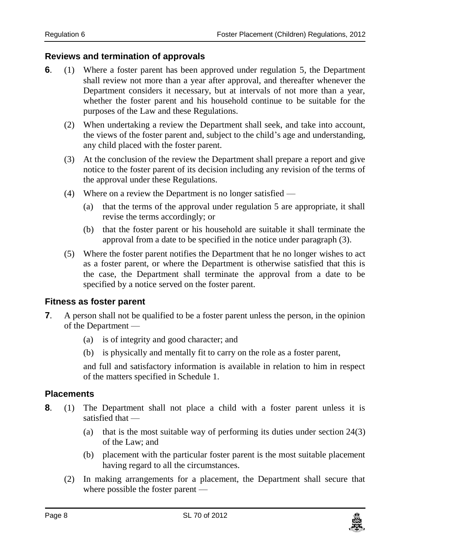#### <span id="page-7-0"></span>**6. Reviews and termination of approvals**

- **6**. (1) Where a foster parent has been approved under regulation 5, the Department shall review not more than a year after approval, and thereafter whenever the Department considers it necessary, but at intervals of not more than a year, whether the foster parent and his household continue to be suitable for the purposes of the Law and these Regulations.
	- (2) When undertaking a review the Department shall seek, and take into account, the views of the foster parent and, subject to the child's age and understanding, any child placed with the foster parent.
	- (3) At the conclusion of the review the Department shall prepare a report and give notice to the foster parent of its decision including any revision of the terms of the approval under these Regulations.
	- (4) Where on a review the Department is no longer satisfied
		- (a) that the terms of the approval under regulation 5 are appropriate, it shall revise the terms accordingly; or
		- (b) that the foster parent or his household are suitable it shall terminate the approval from a date to be specified in the notice under paragraph (3).
	- (5) Where the foster parent notifies the Department that he no longer wishes to act as a foster parent, or where the Department is otherwise satisfied that this is the case, the Department shall terminate the approval from a date to be specified by a notice served on the foster parent.

#### <span id="page-7-1"></span>**7. Fitness as foster parent**

- **7**. A person shall not be qualified to be a foster parent unless the person, in the opinion of the Department —
	- (a) is of integrity and good character; and
	- (b) is physically and mentally fit to carry on the role as a foster parent,

and full and satisfactory information is available in relation to him in respect of the matters specified in Schedule 1.

#### <span id="page-7-2"></span>**8. Placements**

- **8**. (1) The Department shall not place a child with a foster parent unless it is satisfied that —
	- (a) that is the most suitable way of performing its duties under section 24(3) of the Law; and
	- (b) placement with the particular foster parent is the most suitable placement having regard to all the circumstances.
	- (2) In making arrangements for a placement, the Department shall secure that where possible the foster parent —

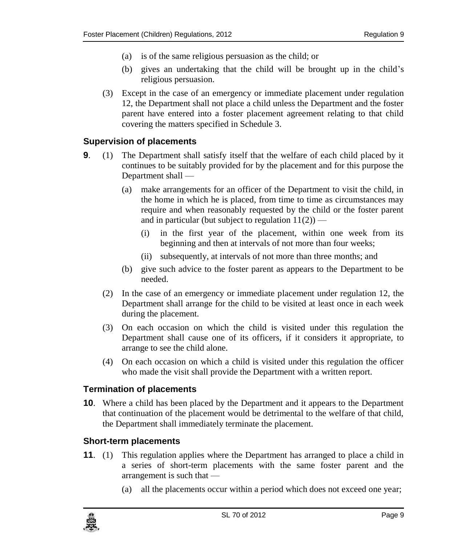- (a) is of the same religious persuasion as the child; or
- (b) gives an undertaking that the child will be brought up in the child's religious persuasion.
- (3) Except in the case of an emergency or immediate placement under regulation 12, the Department shall not place a child unless the Department and the foster parent have entered into a foster placement agreement relating to that child covering the matters specified in Schedule 3.

#### <span id="page-8-0"></span>**9. Supervision of placements**

- **9**. (1) The Department shall satisfy itself that the welfare of each child placed by it continues to be suitably provided for by the placement and for this purpose the Department shall —
	- (a) make arrangements for an officer of the Department to visit the child, in the home in which he is placed, from time to time as circumstances may require and when reasonably requested by the child or the foster parent and in particular (but subject to regulation  $11(2)$ ) —
		- (i) in the first year of the placement, within one week from its beginning and then at intervals of not more than four weeks;
		- (ii) subsequently, at intervals of not more than three months; and
	- (b) give such advice to the foster parent as appears to the Department to be needed.
	- (2) In the case of an emergency or immediate placement under regulation 12, the Department shall arrange for the child to be visited at least once in each week during the placement.
	- (3) On each occasion on which the child is visited under this regulation the Department shall cause one of its officers, if it considers it appropriate, to arrange to see the child alone.
	- (4) On each occasion on which a child is visited under this regulation the officer who made the visit shall provide the Department with a written report.

#### <span id="page-8-1"></span>**10. Termination of placements**

**10**. Where a child has been placed by the Department and it appears to the Department that continuation of the placement would be detrimental to the welfare of that child, the Department shall immediately terminate the placement.

#### <span id="page-8-2"></span>**11. Short-term placements**

- **11**. (1) This regulation applies where the Department has arranged to place a child in a series of short-term placements with the same foster parent and the arrangement is such that —
	- (a) all the placements occur within a period which does not exceed one year;

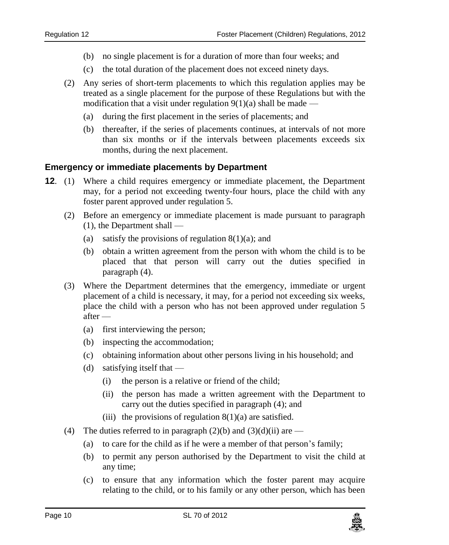- (b) no single placement is for a duration of more than four weeks; and
- (c) the total duration of the placement does not exceed ninety days.
- (2) Any series of short-term placements to which this regulation applies may be treated as a single placement for the purpose of these Regulations but with the modification that a visit under regulation  $9(1)(a)$  shall be made —
	- (a) during the first placement in the series of placements; and
	- (b) thereafter, if the series of placements continues, at intervals of not more than six months or if the intervals between placements exceeds six months, during the next placement.

#### <span id="page-9-0"></span>**12. Emergency or immediate placements by Department**

- **12**. (1) Where a child requires emergency or immediate placement, the Department may, for a period not exceeding twenty-four hours, place the child with any foster parent approved under regulation 5.
	- (2) Before an emergency or immediate placement is made pursuant to paragraph (1), the Department shall —
		- (a) satisfy the provisions of regulation  $8(1)(a)$ ; and
		- (b) obtain a written agreement from the person with whom the child is to be placed that that person will carry out the duties specified in paragraph (4).
	- (3) Where the Department determines that the emergency, immediate or urgent placement of a child is necessary, it may, for a period not exceeding six weeks, place the child with a person who has not been approved under regulation 5 after —
		- (a) first interviewing the person;
		- (b) inspecting the accommodation;
		- (c) obtaining information about other persons living in his household; and
		- (d) satisfying itself that
			- (i) the person is a relative or friend of the child;
			- (ii) the person has made a written agreement with the Department to carry out the duties specified in paragraph (4); and
			- (iii) the provisions of regulation  $8(1)(a)$  are satisfied.
	- (4) The duties referred to in paragraph  $(2)(b)$  and  $(3)(d)(ii)$  are
		- (a) to care for the child as if he were a member of that person's family;
		- (b) to permit any person authorised by the Department to visit the child at any time;
		- (c) to ensure that any information which the foster parent may acquire relating to the child, or to his family or any other person, which has been

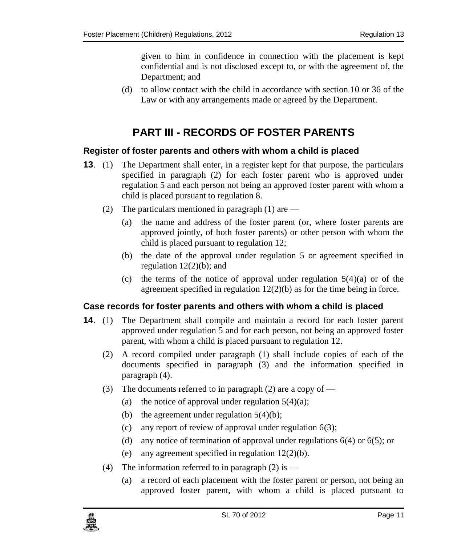given to him in confidence in connection with the placement is kept confidential and is not disclosed except to, or with the agreement of, the Department; and

(d) to allow contact with the child in accordance with section 10 or 36 of the Law or with any arrangements made or agreed by the Department.

# **PART III - RECORDS OF FOSTER PARENTS**

#### <span id="page-10-1"></span><span id="page-10-0"></span>**13. Register of foster parents and others with whom a child is placed**

- **13.** (1) The Department shall enter, in a register kept for that purpose, the particulars specified in paragraph (2) for each foster parent who is approved under regulation 5 and each person not being an approved foster parent with whom a child is placed pursuant to regulation 8.
	- (2) The particulars mentioned in paragraph (1) are  $-$ 
		- (a) the name and address of the foster parent (or, where foster parents are approved jointly, of both foster parents) or other person with whom the child is placed pursuant to regulation 12;
		- (b) the date of the approval under regulation 5 or agreement specified in regulation  $12(2)(b)$ ; and
		- (c) the terms of the notice of approval under regulation  $5(4)(a)$  or of the agreement specified in regulation 12(2)(b) as for the time being in force.

#### <span id="page-10-2"></span>**14. Case records for foster parents and others with whom a child is placed**

- **14**. (1) The Department shall compile and maintain a record for each foster parent approved under regulation 5 and for each person, not being an approved foster parent, with whom a child is placed pursuant to regulation 12.
	- (2) A record compiled under paragraph (1) shall include copies of each of the documents specified in paragraph (3) and the information specified in paragraph (4).
	- (3) The documents referred to in paragraph (2) are a copy of  $-$ 
		- (a) the notice of approval under regulation  $5(4)(a)$ ;
		- (b) the agreement under regulation  $5(4)(b)$ ;
		- (c) any report of review of approval under regulation 6(3);
		- (d) any notice of termination of approval under regulations 6(4) or 6(5); or
		- (e) any agreement specified in regulation 12(2)(b).
	- (4) The information referred to in paragraph  $(2)$  is
		- (a) a record of each placement with the foster parent or person, not being an approved foster parent, with whom a child is placed pursuant to

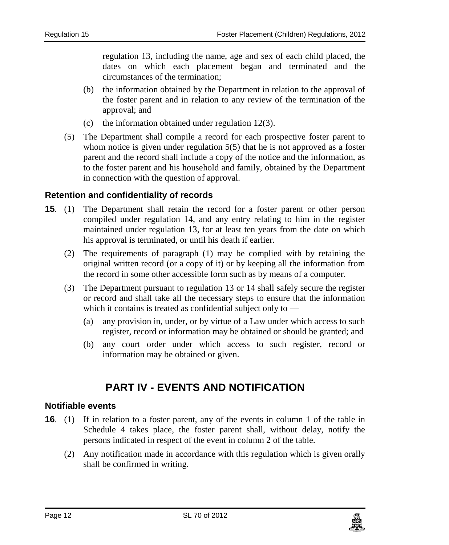regulation 13, including the name, age and sex of each child placed, the dates on which each placement began and terminated and the circumstances of the termination;

- (b) the information obtained by the Department in relation to the approval of the foster parent and in relation to any review of the termination of the approval; and
- (c) the information obtained under regulation 12(3).
- (5) The Department shall compile a record for each prospective foster parent to whom notice is given under regulation 5(5) that he is not approved as a foster parent and the record shall include a copy of the notice and the information, as to the foster parent and his household and family, obtained by the Department in connection with the question of approval.

#### <span id="page-11-0"></span>**15. Retention and confidentiality of records**

- **15**. (1) The Department shall retain the record for a foster parent or other person compiled under regulation 14, and any entry relating to him in the register maintained under regulation 13, for at least ten years from the date on which his approval is terminated, or until his death if earlier.
	- (2) The requirements of paragraph (1) may be complied with by retaining the original written record (or a copy of it) or by keeping all the information from the record in some other accessible form such as by means of a computer.
	- (3) The Department pursuant to regulation 13 or 14 shall safely secure the register or record and shall take all the necessary steps to ensure that the information which it contains is treated as confidential subject only to —
		- (a) any provision in, under, or by virtue of a Law under which access to such register, record or information may be obtained or should be granted; and
		- (b) any court order under which access to such register, record or information may be obtained or given.

# **PART IV - EVENTS AND NOTIFICATION**

#### <span id="page-11-2"></span><span id="page-11-1"></span>**16. Notifiable events**

- **16.** (1) If in relation to a foster parent, any of the events in column 1 of the table in Schedule 4 takes place, the foster parent shall, without delay, notify the persons indicated in respect of the event in column 2 of the table.
	- (2) Any notification made in accordance with this regulation which is given orally shall be confirmed in writing.

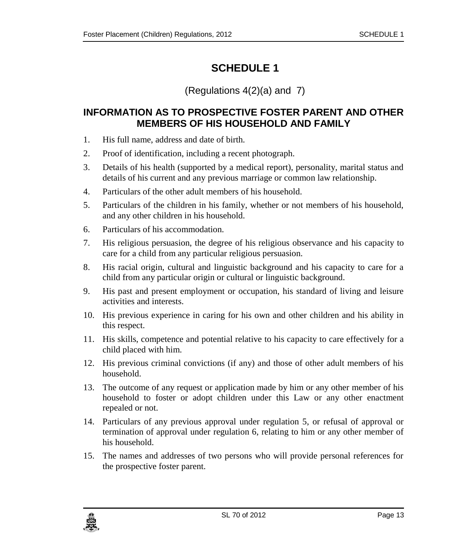## <span id="page-12-0"></span>(Regulations 4(2)(a) and 7)

## <span id="page-12-1"></span>**INFORMATION AS TO PROSPECTIVE FOSTER PARENT AND OTHER MEMBERS OF HIS HOUSEHOLD AND FAMILY**

- 1. His full name, address and date of birth.
- 2. Proof of identification, including a recent photograph.
- 3. Details of his health (supported by a medical report), personality, marital status and details of his current and any previous marriage or common law relationship.
- 4. Particulars of the other adult members of his household.
- 5. Particulars of the children in his family, whether or not members of his household, and any other children in his household.
- 6. Particulars of his accommodation.
- 7. His religious persuasion, the degree of his religious observance and his capacity to care for a child from any particular religious persuasion.
- 8. His racial origin, cultural and linguistic background and his capacity to care for a child from any particular origin or cultural or linguistic background.
- 9. His past and present employment or occupation, his standard of living and leisure activities and interests.
- 10. His previous experience in caring for his own and other children and his ability in this respect.
- 11. His skills, competence and potential relative to his capacity to care effectively for a child placed with him.
- 12. His previous criminal convictions (if any) and those of other adult members of his household.
- 13. The outcome of any request or application made by him or any other member of his household to foster or adopt children under this Law or any other enactment repealed or not.
- 14. Particulars of any previous approval under regulation 5, or refusal of approval or termination of approval under regulation 6, relating to him or any other member of his household.
- 15. The names and addresses of two persons who will provide personal references for the prospective foster parent.

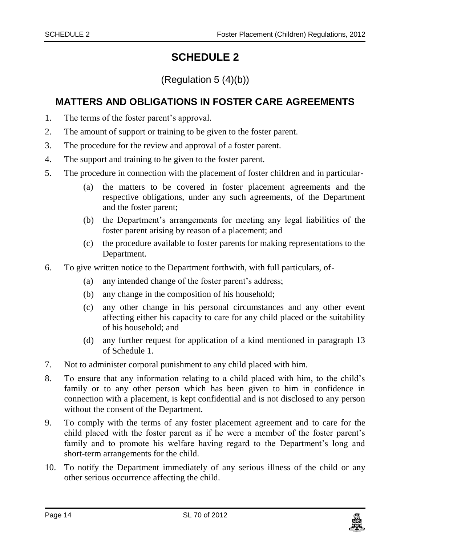(Regulation 5 (4)(b))

## <span id="page-13-1"></span><span id="page-13-0"></span>**MATTERS AND OBLIGATIONS IN FOSTER CARE AGREEMENTS**

- 1. The terms of the foster parent's approval.
- 2. The amount of support or training to be given to the foster parent.
- 3. The procedure for the review and approval of a foster parent.
- 4. The support and training to be given to the foster parent.
- 5. The procedure in connection with the placement of foster children and in particular-
	- (a) the matters to be covered in foster placement agreements and the respective obligations, under any such agreements, of the Department and the foster parent;
	- (b) the Department's arrangements for meeting any legal liabilities of the foster parent arising by reason of a placement; and
	- (c) the procedure available to foster parents for making representations to the Department.
- 6. To give written notice to the Department forthwith, with full particulars, of-
	- (a) any intended change of the foster parent's address;
	- (b) any change in the composition of his household;
	- (c) any other change in his personal circumstances and any other event affecting either his capacity to care for any child placed or the suitability of his household; and
	- (d) any further request for application of a kind mentioned in paragraph 13 of Schedule 1.
- 7. Not to administer corporal punishment to any child placed with him.
- 8. To ensure that any information relating to a child placed with him, to the child's family or to any other person which has been given to him in confidence in connection with a placement, is kept confidential and is not disclosed to any person without the consent of the Department.
- 9. To comply with the terms of any foster placement agreement and to care for the child placed with the foster parent as if he were a member of the foster parent's family and to promote his welfare having regard to the Department's long and short-term arrangements for the child.
- 10. To notify the Department immediately of any serious illness of the child or any other serious occurrence affecting the child.

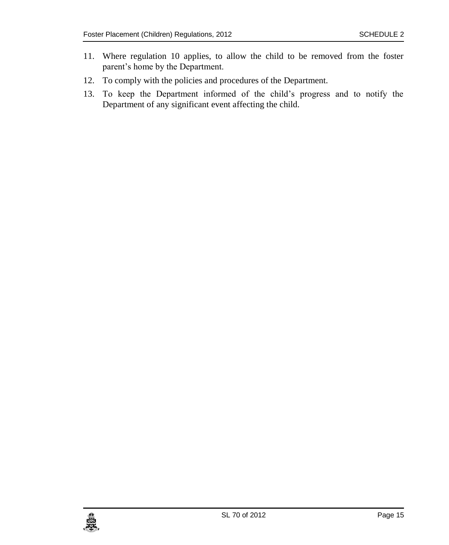- 11. Where regulation 10 applies, to allow the child to be removed from the foster parent's home by the Department.
- 12. To comply with the policies and procedures of the Department.
- 13. To keep the Department informed of the child's progress and to notify the Department of any significant event affecting the child.

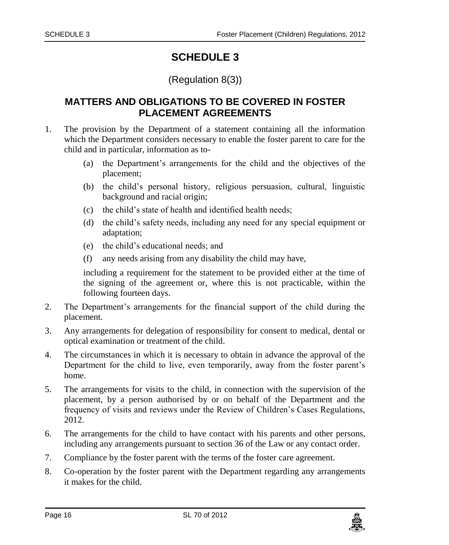#### (Regulation 8(3))

## <span id="page-15-1"></span><span id="page-15-0"></span>**MATTERS AND OBLIGATIONS TO BE COVERED IN FOSTER PLACEMENT AGREEMENTS**

- 1. The provision by the Department of a statement containing all the information which the Department considers necessary to enable the foster parent to care for the child and in particular, information as to-
	- (a) the Department's arrangements for the child and the objectives of the placement;
	- (b) the child's personal history, religious persuasion, cultural, linguistic background and racial origin;
	- (c) the child's state of health and identified health needs;
	- (d) the child's safety needs, including any need for any special equipment or adaptation;
	- (e) the child's educational needs; and
	- (f) any needs arising from any disability the child may have,

including a requirement for the statement to be provided either at the time of the signing of the agreement or, where this is not practicable, within the following fourteen days.

- 2. The Department's arrangements for the financial support of the child during the placement.
- 3. Any arrangements for delegation of responsibility for consent to medical, dental or optical examination or treatment of the child.
- 4. The circumstances in which it is necessary to obtain in advance the approval of the Department for the child to live, even temporarily, away from the foster parent's home.
- 5. The arrangements for visits to the child, in connection with the supervision of the placement, by a person authorised by or on behalf of the Department and the frequency of visits and reviews under the Review of Children's Cases Regulations, 2012.
- 6. The arrangements for the child to have contact with his parents and other persons, including any arrangements pursuant to section 36 of the Law or any contact order.
- 7. Compliance by the foster parent with the terms of the foster care agreement.
- 8. Co-operation by the foster parent with the Department regarding any arrangements it makes for the child.

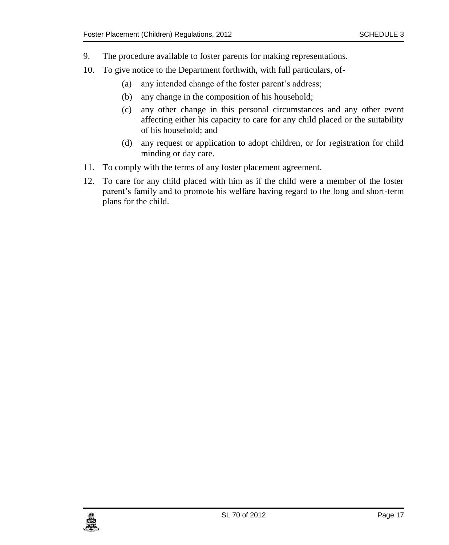- 9. The procedure available to foster parents for making representations.
- 10. To give notice to the Department forthwith, with full particulars, of-
	- (a) any intended change of the foster parent's address;
	- (b) any change in the composition of his household;
	- (c) any other change in this personal circumstances and any other event affecting either his capacity to care for any child placed or the suitability of his household; and
	- (d) any request or application to adopt children, or for registration for child minding or day care.
- 11. To comply with the terms of any foster placement agreement.
- 12. To care for any child placed with him as if the child were a member of the foster parent's family and to promote his welfare having regard to the long and short-term plans for the child.

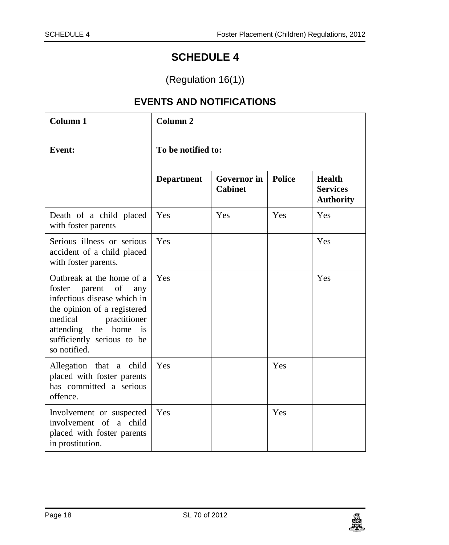(Regulation 16(1))

# **EVENTS AND NOTIFICATIONS**

<span id="page-17-1"></span><span id="page-17-0"></span>

| Column 1                                                                                                                                                                                                                   | Column <sub>2</sub><br>To be notified to: |                                      |               |                                               |
|----------------------------------------------------------------------------------------------------------------------------------------------------------------------------------------------------------------------------|-------------------------------------------|--------------------------------------|---------------|-----------------------------------------------|
| <b>Event:</b>                                                                                                                                                                                                              |                                           |                                      |               |                                               |
|                                                                                                                                                                                                                            | <b>Department</b>                         | <b>Governor</b> in<br><b>Cabinet</b> | <b>Police</b> | Health<br><b>Services</b><br><b>Authority</b> |
| Death of a child placed<br>with foster parents                                                                                                                                                                             | Yes                                       | Yes                                  | Yes           | Yes                                           |
| Serious illness or serious<br>accident of a child placed<br>with foster parents.                                                                                                                                           | Yes                                       |                                      |               | Yes                                           |
| Outbreak at the home of a<br>foster parent of<br>any<br>infectious disease which in<br>the opinion of a registered<br>medical<br>practitioner<br>home<br>attending the<br>is<br>sufficiently serious to be<br>so notified. | Yes                                       |                                      |               | Yes                                           |
| Allegation that a child<br>placed with foster parents<br>has committed a serious<br>offence.                                                                                                                               | Yes                                       |                                      | Yes           |                                               |
| Involvement or suspected<br>involvement of a child<br>placed with foster parents<br>in prostitution.                                                                                                                       | Yes                                       |                                      | Yes           |                                               |

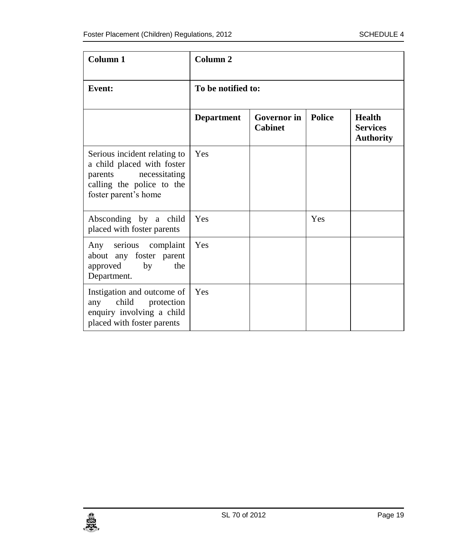| Column <sub>1</sub>                                                                                                                         | Column <sub>2</sub> |                                      |               |                                                      |
|---------------------------------------------------------------------------------------------------------------------------------------------|---------------------|--------------------------------------|---------------|------------------------------------------------------|
| <b>Event:</b>                                                                                                                               | To be notified to:  |                                      |               |                                                      |
|                                                                                                                                             | <b>Department</b>   | <b>Governor</b> in<br><b>Cabinet</b> | <b>Police</b> | <b>Health</b><br><b>Services</b><br><b>Authority</b> |
| Serious incident relating to<br>a child placed with foster<br>necessitating<br>parents<br>calling the police to the<br>foster parent's home | Yes                 |                                      |               |                                                      |
| Absconding by a child<br>placed with foster parents                                                                                         | Yes                 |                                      | Yes           |                                                      |
| Any serious complaint<br>about any foster parent<br>by<br>the<br>approved<br>Department.                                                    | Yes                 |                                      |               |                                                      |
| Instigation and outcome of<br>child<br>protection<br>any<br>enquiry involving a child<br>placed with foster parents                         | Yes                 |                                      |               |                                                      |